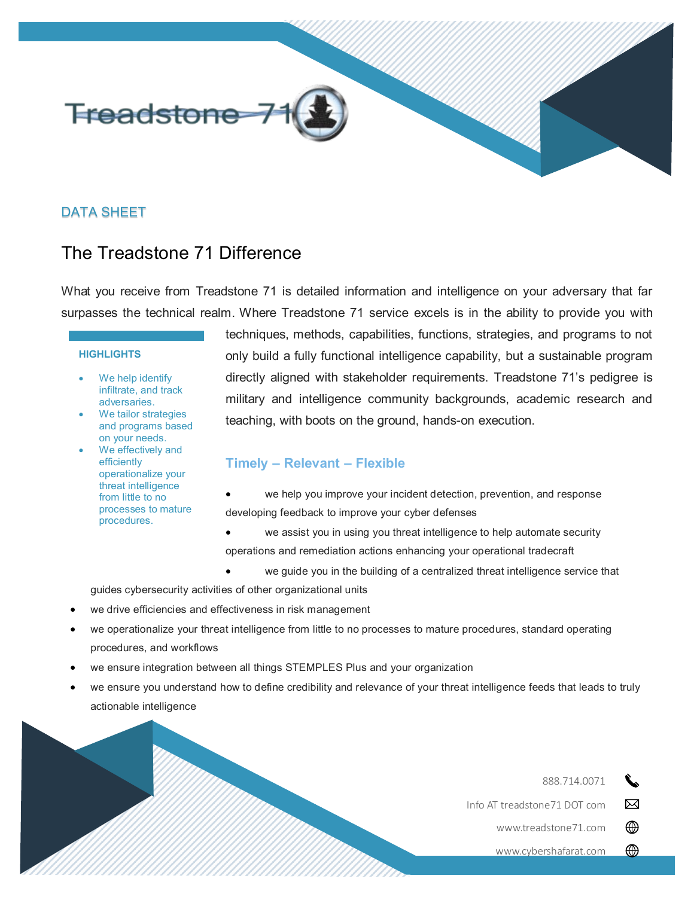

# DATA SHEET

# The Treadstone 71 Difference

What you receive from Treadstone 71 is detailed information and intelligence on your adversary that far surpasses the technical realm. Where Treadstone 71 service excels is in the ability to provide you with

#### **HIGHLIGHTS**

- We help identify infiltrate, and track adversaries.
- We tailor strategies and programs based on your needs.
- We effectively and efficiently operationalize your threat intelligence from little to no processes to mature procedures.

techniques, methods, capabilities, functions, strategies, and programs to not only build a fully functional intelligence capability, but a sustainable program directly aligned with stakeholder requirements. Treadstone 71's pedigree is military and intelligence community backgrounds, academic research and teaching, with boots on the ground, hands-on execution.

### **Timely – Relevant – Flexible**

- we help you improve your incident detection, prevention, and response developing feedback to improve your cyber defenses
- we assist you in using you threat intelligence to help automate security operations and remediation actions enhancing your operational tradecraft
	- we guide you in the building of a centralized threat intelligence service that

guides cybersecurity activities of other organizational units

- we drive efficiencies and effectiveness in risk management
- we operationalize your threat intelligence from little to no processes to mature procedures, standard operating procedures, and workflows
- we ensure integration between all things STEMPLES Plus and your organization
- we ensure you understand how to define credibility and relevance of your threat intelligence feeds that leads to truly actionable intelligence

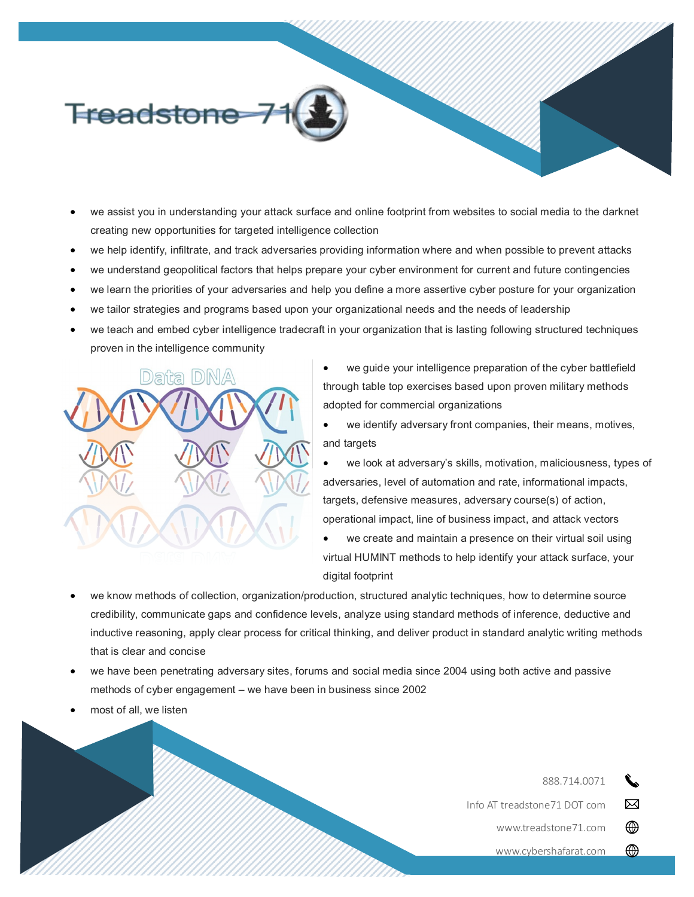

- we assist you in understanding your attack surface and online footprint from websites to social media to the darknet creating new opportunities for targeted intelligence collection
- we help identify, infiltrate, and track adversaries providing information where and when possible to prevent attacks
- we understand geopolitical factors that helps prepare your cyber environment for current and future contingencies
- we learn the priorities of your adversaries and help you define a more assertive cyber posture for your organization
- we tailor strategies and programs based upon your organizational needs and the needs of leadership
- we teach and embed cyber intelligence tradecraft in your organization that is lasting following structured techniques proven in the intelligence community



- we guide your intelligence preparation of the cyber battlefield through table top exercises based upon proven military methods adopted for commercial organizations
- we identify adversary front companies, their means, motives, and targets
- we look at adversary's skills, motivation, maliciousness, types of adversaries, level of automation and rate, informational impacts, targets, defensive measures, adversary course(s) of action, operational impact, line of business impact, and attack vectors
- we create and maintain a presence on their virtual soil using virtual HUMINT methods to help identify your attack surface, your digital footprint
- we know methods of collection, organization/production, structured analytic techniques, how to determine source credibility, communicate gaps and confidence levels, analyze using standard methods of inference, deductive and inductive reasoning, apply clear process for critical thinking, and deliver product in standard analytic writing methods that is clear and concise
- we have been penetrating adversary sites, forums and social media since 2004 using both active and passive methods of cyber engagement – we have been in business since 2002
- most of all, we listen